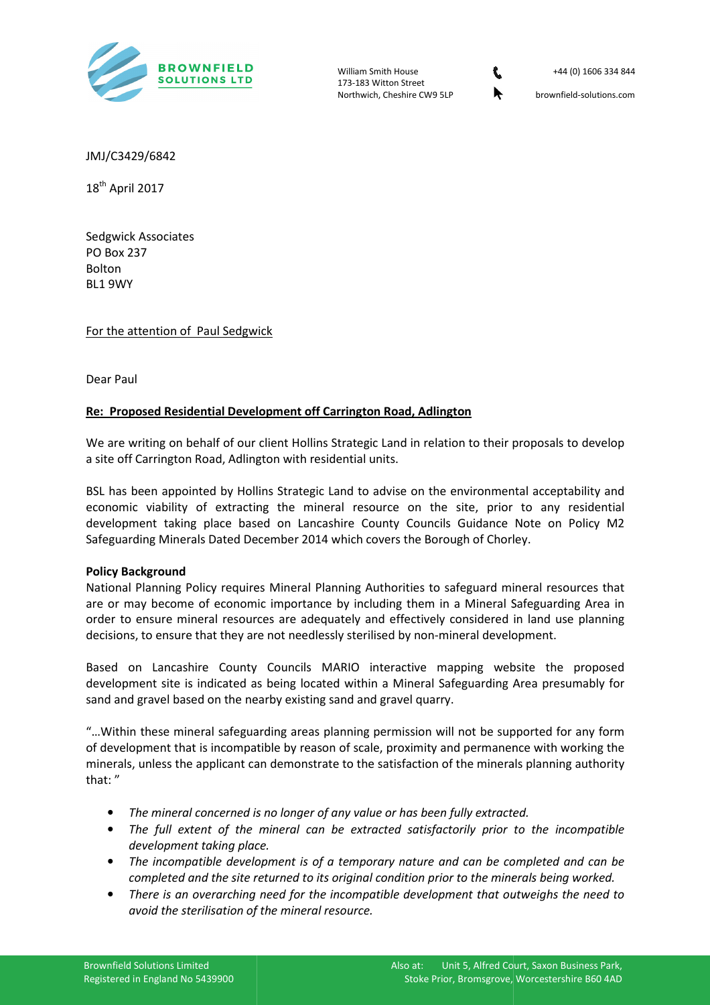

William Smith House 173-183 Witton Street Northwich, Cheshire CW9 5LP



+44 (0) 1606 334 844

brownfield-solutions.com

JMJ/C3429/6842

18<sup>th</sup> April 2017

Sedgwick Associates PO Box 237 Bolton BL1 9WY

For the attention of Paul Sedgwick

Dear Paul

# **Re: Proposed Residential Development off Carrington Road, Adlington**

We are writing on behalf of our client Hollins Strategic Land in relation to their proposals to develop a site off Carrington Road, Adlington with residential units.

BSL has been appointed by Hollins Strategic Land to advise on the environmental acceptability and economic viability of extracting the mineral resource on the site, prior to any residential development taking place based on Lancashire County Councils Guidance Note on Policy M2 Safeguarding Minerals Dated December 2014 which covers the Borough of Chorley.

### **Policy Background**

National Planning Policy requires Mineral Planning Authorities to safeguard mineral resources that are or may become of economic importance by including them in a Mineral Safeguarding Area in order to ensure mineral resources are adequately and effectively considered in land use planning decisions, to ensure that they are not needlessly sterilised by non-mineral development.

Based on Lancashire County Councils MARIO interactive mapping website the proposed development site is indicated as being located within a Mineral Safeguarding Area presumably for sand and gravel based on the nearby existing sand and gravel quarry.

"...Within these mineral safeguarding areas planning permission will not be supported for any form of development that is incompatible by reason of scale, proximity and permanence with working the minerals, unless the applicant can demonstrate to the satisfaction of the minerals planning authority that: "

- The mineral concerned is no longer of any value or has been fully extracted.
- The full extent of the mineral can be extracted satisfactorily prior to the incompatible *development taking place. lace.*
- The incompatible development is of a temporary nature and can be completed and can be completed and the site returned to its original condition prior to the minerals being worked.
- There is an overarching need for the incompatible development that outweighs the need to *avoid the sterilisation of th the mineral resource.*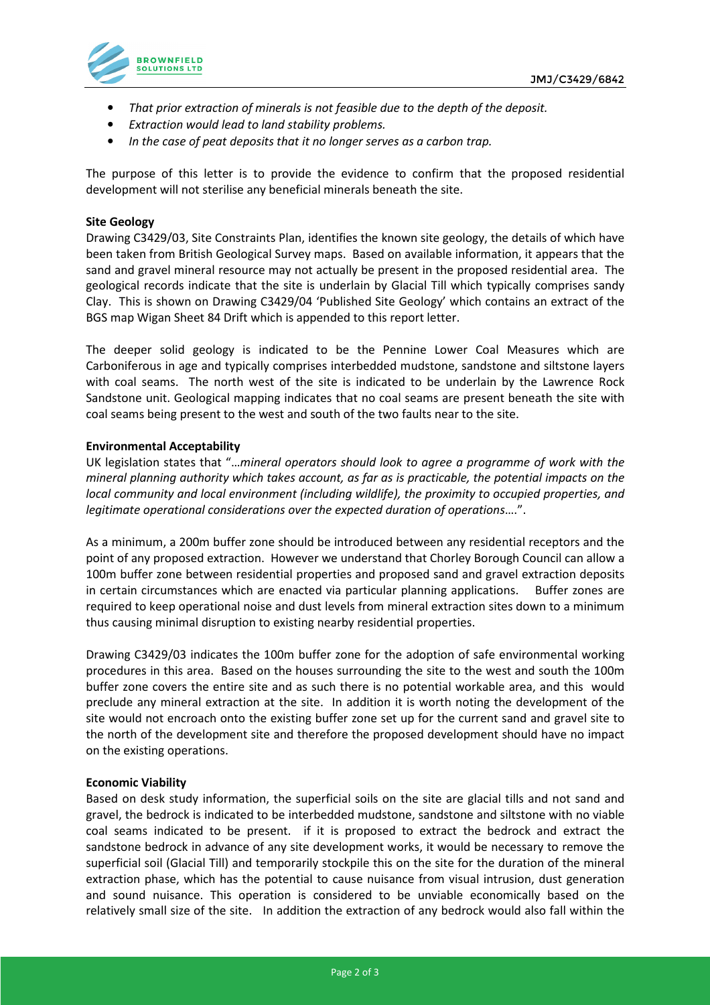

- *That prior extraction of minerals is not feasible due to the depth of the deposit.*
- *Extraction would lead to land stability problems.*
- *In the case of peat deposits that it no longer serves as a carbon trap.*

The purpose of this letter is to provide the evidence to confirm that the proposed residential development will not sterilise any beneficial minerals beneath the site.

## **Site Geology**

Drawing C3429/03, Site Constraints Plan, identifies the known site geology, the details of which have been taken from British Geological Survey maps. Based on available information, it appears that the sand and gravel mineral resource may not actually be present in the proposed residential area. The geological records indicate that the site is underlain by Glacial Till which typically comprises sandy Clay. This is shown on Drawing C3429/04 'Published Site Geology' which contains an extract of the BGS map Wigan Sheet 84 Drift which is appended to this report letter.

The deeper solid geology is indicated to be the Pennine Lower Coal Measures which are Carboniferous in age and typically comprises interbedded mudstone, sandstone and siltstone layers with coal seams. The north west of the site is indicated to be underlain by the Lawrence Rock Sandstone unit. Geological mapping indicates that no coal seams are present beneath the site with coal seams being present to the west and south of the two faults near to the site.

## **Environmental Acceptability**

UK legislation states that "…*mineral operators should look to agree a programme of work with the mineral planning authority which takes account, as far as is practicable, the potential impacts on the local community and local environment (including wildlife), the proximity to occupied properties, and legitimate operational considerations over the expected duration of operations*….".

As a minimum, a 200m buffer zone should be introduced between any residential receptors and the point of any proposed extraction. However we understand that Chorley Borough Council can allow a 100m buffer zone between residential properties and proposed sand and gravel extraction deposits in certain circumstances which are enacted via particular planning applications. Buffer zones are required to keep operational noise and dust levels from mineral extraction sites down to a minimum thus causing minimal disruption to existing nearby residential properties.

Drawing C3429/03 indicates the 100m buffer zone for the adoption of safe environmental working procedures in this area. Based on the houses surrounding the site to the west and south the 100m buffer zone covers the entire site and as such there is no potential workable area, and this would preclude any mineral extraction at the site. In addition it is worth noting the development of the site would not encroach onto the existing buffer zone set up for the current sand and gravel site to the north of the development site and therefore the proposed development should have no impact on the existing operations.

### **Economic Viability**

Based on desk study information, the superficial soils on the site are glacial tills and not sand and gravel, the bedrock is indicated to be interbedded mudstone, sandstone and siltstone with no viable coal seams indicated to be present. if it is proposed to extract the bedrock and extract the sandstone bedrock in advance of any site development works, it would be necessary to remove the superficial soil (Glacial Till) and temporarily stockpile this on the site for the duration of the mineral extraction phase, which has the potential to cause nuisance from visual intrusion, dust generation and sound nuisance. This operation is considered to be unviable economically based on the relatively small size of the site. In addition the extraction of any bedrock would also fall within the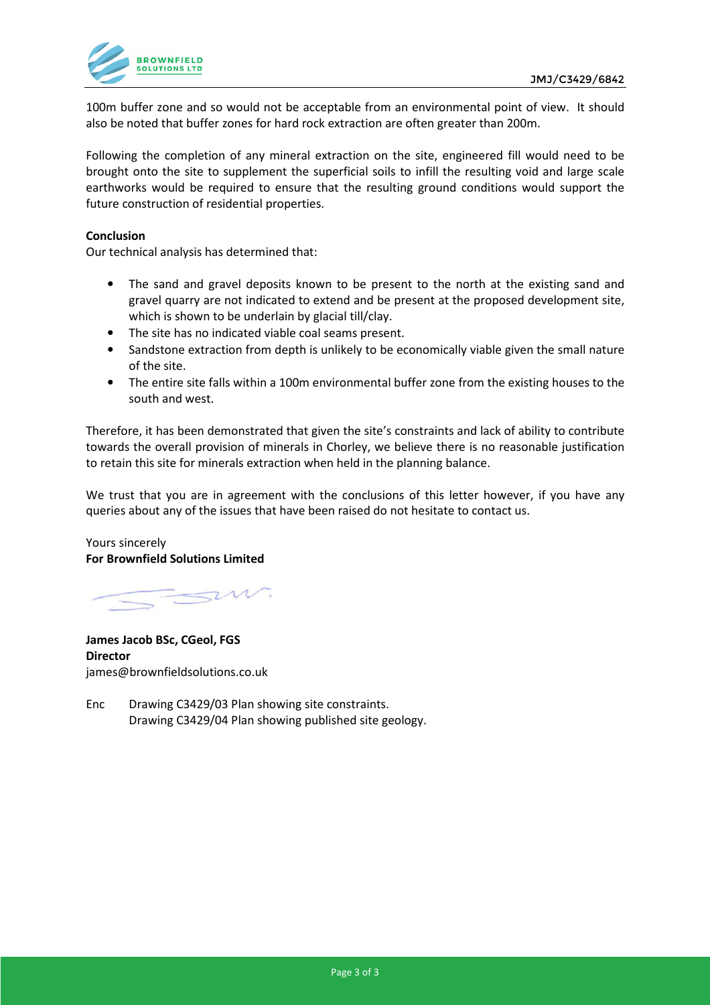

100m buffer zone and so would not be acceptable from an environmental point of view. It should also be noted that buffer zones for hard rock extraction are often greater than 200m.

Following the completion of any mineral extraction on the site, engineered fill would need to be brought onto the site to supplement the superficial soils to infill the resulting void and large scale earthworks would be required to ensure that the resulting ground conditions would support the future construction of residential properties.

## **Conclusion**

Our technical analysis has determined that:

- The sand and gravel deposits known to be present to the north at the existing sand and gravel quarry are not indicated to extend and be present at the proposed development site, which is shown to be underlain by glacial till/clay.
- The site has no indicated viable coal seams present.
- Sandstone extraction from depth is unlikely to be economically viable given the small nature of the site.
- The entire site falls within a 100m environmental buffer zone from the existing houses to the south and west.

Therefore, it has been demonstrated that given the site's constraints and lack of ability to contribute towards the overall provision of minerals in Chorley, we believe there is no reasonable justification to retain this site for minerals extraction when held in the planning balance.

We trust that you are in agreement with the conclusions of this letter however, if you have any queries about any of the issues that have been raised do not hesitate to contact us.

Yours sincerely **For Brownfield Solutions Limited** 

 $7.11$ 

**James Jacob BSc, CGeol, FGS Director**  james@brownfieldsolutions.co.uk

Enc Drawing C3429/03 Plan showing site constraints. Drawing C3429/04 Plan showing published site geology.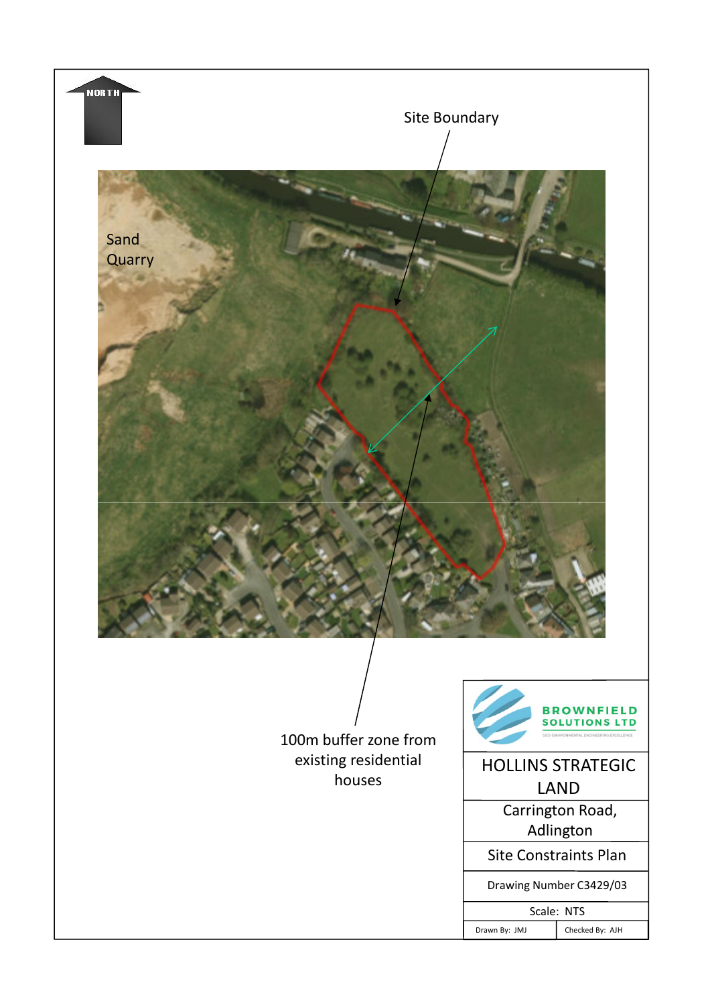